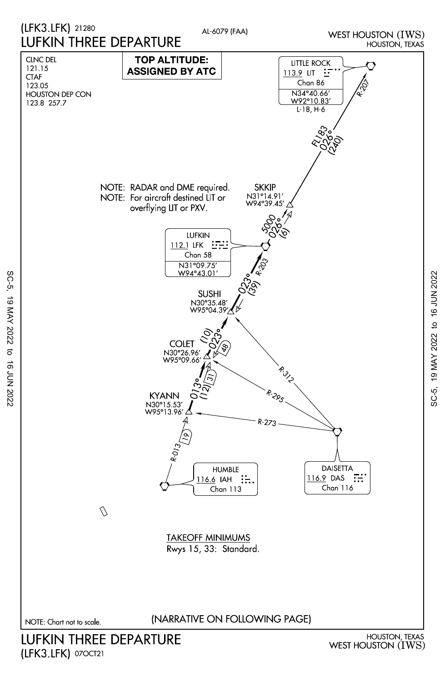

(LFK3.LFK) 07OCT21

SC-5, 19 MAY 2022 to 16 JUN 2022

 $\vec{c}$ 

16 JUN 2022

19 MAY 2022

SC-5,